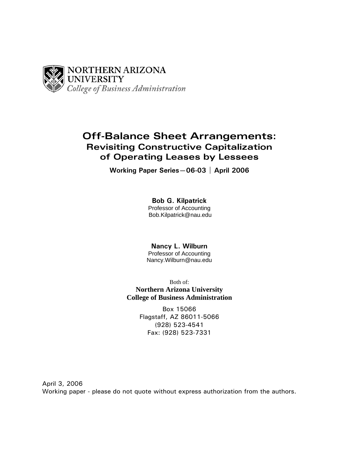

# **Off-Balance Sheet Arrangements: Revisiting Constructive Capitalization of Operating Leases by Lessees**

**Working Paper Series—06-03 | April 2006** 

**Bob G. Kilpatrick**  Professor of Accounting Bob.Kilpatrick@nau.edu

**Nancy L. Wilburn**  Professor of Accounting Nancy.Wilburn@nau.edu

Both of: **Northern Arizona University College of Business Administration**

> Box 15066 Flagstaff, AZ 86011-5066 (928) 523-4541 Fax: (928) 523-7331

April 3, 2006 Working paper - please do not quote without express authorization from the authors.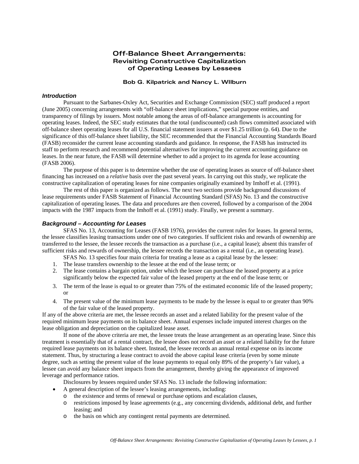# **Off-Balance Sheet Arrangements: Revisiting Constructive Capitalization of Operating Leases by Lessees**

#### **Bob G. Kilpatrick and Nancy L. WIlburn**

#### *Introduction*

 Pursuant to the Sarbanes-Oxley Act, Securities and Exchange Commission (SEC) staff produced a report (June 2005) concerning arrangements with "off-balance sheet implications," special purpose entities, and transparency of filings by issuers. Most notable among the areas of off-balance arrangements is accounting for operating leases. Indeed, the SEC study estimates that the total (undiscounted) cash flows committed associated with off-balance sheet operating leases for all U.S. financial statement issuers at over \$1.25 trillion (p. 64). Due to the significance of this off-balance sheet liability, the SEC recommended that the Financial Accounting Standards Board (FASB) reconsider the current lease accounting standards and guidance. In response, the FASB has instructed its staff to perform research and recommend potential alternatives for improving the current accounting guidance on leases. In the near future, the FASB will determine whether to add a project to its agenda for lease accounting (FASB 2006).

 The purpose of this paper is to determine whether the use of operating leases as source of off-balance sheet financing has increased on a *relative* basis over the past several years. In carrying out this study, we replicate the constructive capitalization of operating leases for nine companies originally examined by Imhoff et al. (1991).

 The rest of this paper is organized as follows. The next two sections provide background discussions of lease requirements under FASB Statement of Financial Accounting Standard (SFAS) No. 13 and the constructive capitalization of operating leases. The data and procedures are then covered, followed by a comparison of the 2004 impacts with the 1987 impacts from the Imhoff et al. (1991) study. Finally, we present a summary.

#### *Background – Accounting for Leases*

SFAS No. 13, Accounting for Leases (FASB 1976), provides the current rules for leases. In general terms, the lessee classifies leasing transactions under one of two categories. If sufficient risks and rewards of ownership are transferred to the lessee, the lessee records the transaction as a purchase (i.e., a capital lease); absent this transfer of sufficient risks and rewards of ownership, the lessee records the transaction as a rental (i.e., an operating lease).

SFAS No. 13 specifies four main criteria for treating a lease as a capital lease by the lessee:

- 1. The lease transfers ownership to the lessee at the end of the lease term; or
- 2. The lease contains a bargain option, under which the lessee can purchase the leased property at a price significantly below the expected fair value of the leased property at the end of the lease term; or
- 3. The term of the lease is equal to or greater than 75% of the estimated economic life of the leased property; or
- 4. The present value of the minimum lease payments to be made by the lessee is equal to or greater than 90% of the fair value of the leased property.

If any of the above criteria are met, the lessee records an asset and a related liability for the present value of the required minimum lease payments on its balance sheet. Annual expenses include imputed interest charges on the lease obligation and depreciation on the capitalized lease asset.

 If none of the above criteria are met, the lessee treats the lease arrangement as an operating lease. Since this treatment is essentially that of a rental contract, the lessee does not record an asset or a related liability for the future required lease payments on its balance sheet. Instead, the lessee records an annual rental expense on its income statement. Thus, by structuring a lease contract to avoid the above capital lease criteria (even by some minute degree, such as setting the present value of the lease payments to equal only 89% of the property's fair value), a lessee can avoid any balance sheet impacts from the arrangement, thereby giving the appearance of improved leverage and performance ratios.

Disclosures by lessees required under SFAS No. 13 include the following information:

- A general description of the lessee's leasing arrangements, including:
	- o the existence and terms of renewal or purchase options and escalation clauses,
	- o restrictions imposed by lease agreements (e.g., any concerning dividends, additional debt, and further leasing; and
	- o the basis on which any contingent rental payments are determined.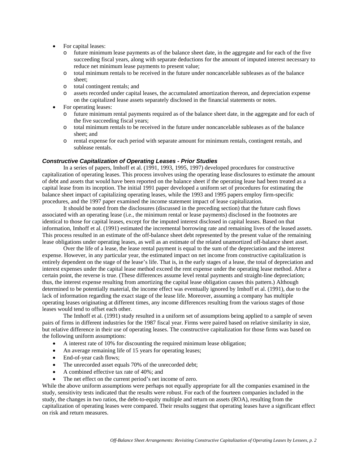- For capital leases:
	- o future minimum lease payments as of the balance sheet date, in the aggregate and for each of the five succeeding fiscal years, along with separate deductions for the amount of imputed interest necessary to reduce net minimum lease payments to present value;
	- o total minimum rentals to be received in the future under noncancelable subleases as of the balance sheet;
	- o total contingent rentals; and
	- o assets recorded under capital leases, the accumulated amortization thereon, and depreciation expense on the capitalized lease assets separately disclosed in the financial statements or notes.
- For operating leases:
	- o future minimum rental payments required as of the balance sheet date, in the aggregate and for each of the five succeeding fiscal years;
	- o total minimum rentals to be received in the future under noncancelable subleases as of the balance sheet; and
	- o rental expense for each period with separate amount for minimum rentals, contingent rentals, and sublease rentals.

#### *Constructive Capitalization of Operating Leases - Prior Studies*

 In a series of papers, Imhoff et al. (1991, 1993, 1995, 1997) developed procedures for constructive capitalization of operating leases. This process involves using the operating lease disclosures to estimate the amount of debt and assets that would have been reported on the balance sheet if the operating lease had been treated as a capital lease from its inception. The initial 1991 paper developed a uniform set of procedures for estimating the balance sheet impact of capitalizing operating leases, while the 1993 and 1995 papers employ firm-specific procedures, and the 1997 paper examined the income statement impact of lease capitalization.

 It should be noted from the disclosures (discussed in the preceding section) that the future cash flows associated with an operating lease (i.e., the minimum rental or lease payments) disclosed in the footnotes are identical to those for capital leases, except for the imputed interest disclosed in capital leases. Based on that information, Imhoff et al. (1991) estimated the incremental borrowing rate and remaining lives of the leased assets. This process resulted in an estimate of the off-balance sheet debt represented by the present value of the remaining lease obligations under operating leases, as well as an estimate of the related unamortized off-balance sheet asset.

 Over the life of a lease, the lease rental payment is equal to the sum of the depreciation and the interest expense. However, in any particular year, the estimated impact on net income from constructive capitalization is entirely dependent on the stage of the lease's life. That is, in the early stages of a lease, the total of depreciation and interest expenses under the capital lease method exceed the rent expense under the operating lease method. After a certain point, the reverse is true. (These differences assume level rental payments and straight-line depreciation; thus, the interest expense resulting from amortizing the capital lease obligation causes this pattern.) Although determined to be potentially material, the income effect was eventually ignored by Imhoff et al. (1991), due to the lack of information regarding the exact stage of the lease life. Moreover, assuming a company has multiple operating leases originating at different times, any income differences resulting from the various stages of those leases would tend to offset each other.

 The Imhoff et al. (1991) study resulted in a uniform set of assumptions being applied to a sample of seven pairs of firms in different industries for the 1987 fiscal year. Firms were paired based on relative similarity in size, but relative difference in their use of operating leases. The constructive capitalization for those firms was based on the following uniform assumptions:

- A interest rate of 10% for discounting the required minimum lease obligation;
- An average remaining life of 15 years for operating leases;
- End-of-year cash flows;
- The unrecorded asset equals 70% of the unrecorded debt;
- A combined effective tax rate of 40%; and
- The net effect on the current period's net income of zero.

While the above uniform assumptions were perhaps not equally appropriate for all the companies examined in the study, sensitivity tests indicated that the results were robust. For each of the fourteen companies included in the study, the changes in two ratios, the debt-to-equity multiple and return on assets (ROA), resulting from the capitalization of operating leases were compared. Their results suggest that operating leases have a significant effect on risk and return measures.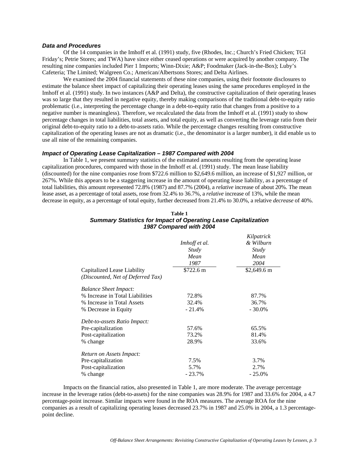### *Data and Procedures*

Of the 14 companies in the Imhoff et al. (1991) study, five (Rhodes, Inc.; Church's Fried Chicken; TGI Friday's; Petrie Stores; and TWA) have since either ceased operations or were acquired by another company. The resulting nine companies included Pier 1 Imports; Winn-Dixie; A&P; Foodmaker (Jack-in-the-Box); Luby's Cafeteria; The Limited; Walgreen Co.; American/Albertsons Stores; and Delta Airlines.

We examined the 2004 financial statements of these nine companies, using their footnote disclosures to estimate the balance sheet impact of capitalizing their operating leases using the same procedures employed in the Imhoff et al. (1991) study. In two instances (A&P and Delta), the constructive capitalization of their operating leases was so large that they resulted in negative equity, thereby making comparisons of the traditional debt-to-equity ratio problematic (i.e., interpreting the percentage change in a debt-to-equity ratio that changes from a positive to a negative number is meaningless). Therefore, we recalculated the data from the Imhoff et al. (1991) study to show percentage changes in total liabilities, total assets, and total equity, as well as converting the leverage ratio from their original debt-to-equity ratio to a debt-to-assets ratio. While the percentage changes resulting from constructive capitalization of the operating leases are not as dramatic (i.e., the denominator is a larger number), it did enable us to use all nine of the remaining companies.

#### *Impact of Operating Lease Capitalization – 1987 Compared with 2004*

In Table 1, we present summary statistics of the estimated amounts resulting from the operating lease capitalization procedures, compared with those in the Imhoff et al. (1991) study. The mean lease liability (discounted) for the nine companies rose from \$722.6 million to \$2,649.6 million, an increase of \$1,927 million, or 267%. While this appears to be a staggering increase in the amount of operating lease liability, as a percentage of total liabilities, this amount represented 72.8% (1987) and 87.7% (2004), a *relative* increase of about 20%. The mean lease asset, as a percentage of total assets, rose from 32.4% to 36.7%, a *relative* increase of 13%, while the mean decrease in equity, as a percentage of total equity, further decreased from 21.4% to 30.0%, a relative *decrease* of 40%.

|                                   | Imhoff et al. | Kilpatrick<br>& Wilburn<br>Study<br>Mean |  |
|-----------------------------------|---------------|------------------------------------------|--|
|                                   | Study<br>Mean |                                          |  |
|                                   | 1987          | 2004                                     |  |
| Capitalized Lease Liability       | \$722.6 m     | $$2,649.6 \text{ m}$                     |  |
| (Discounted, Net of Deferred Tax) |               |                                          |  |
| <b>Balance Sheet Impact:</b>      |               |                                          |  |
| % Increase in Total Liabilities   | 72.8%         | 87.7%                                    |  |
| % Increase in Total Assets        | 32.4%         | 36.7%                                    |  |
| % Decrease in Equity              | $-21.4%$      | $-30.0\%$                                |  |
| Debt-to-assets Ratio Impact:      |               |                                          |  |
| Pre-capitalization                | 57.6%         | 65.5%                                    |  |
| Post-capitalization               | 73.2%         | 81.4%                                    |  |
| % change                          | 28.9%         | 33.6%                                    |  |
| Return on Assets Impact:          |               |                                          |  |
| Pre-capitalization                | 7.5%          | 3.7%                                     |  |
| Post-capitalization               | 5.7%          | 2.7%                                     |  |
| % change                          | $-23.7%$      | $-25.0\%$                                |  |

## **Table 1**  *Summary Statistics for Impact of Operating Lease Capitalization 1987 Compared with 2004*

 Impacts on the financial ratios, also presented in Table 1, are more moderate. The average percentage increase in the leverage ratios (debt-to-assets) for the nine companies was 28.9% for 1987 and 33.6% for 2004, a 4.7 percentage-point increase. Similar impacts were found in the ROA measures. The average ROA for the nine companies as a result of capitalizing operating leases decreased 23.7% in 1987 and 25.0% in 2004, a 1.3 percentagepoint decline.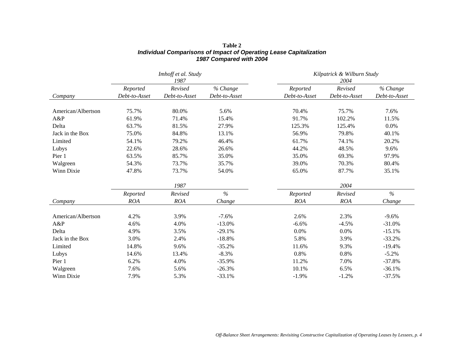|                    | Imhoff et al. Study<br>1987 |               |               | Kilpatrick & Wilburn Study<br>2004 |               |               |
|--------------------|-----------------------------|---------------|---------------|------------------------------------|---------------|---------------|
|                    | Reported                    | Revised       | % Change      | Reported                           | Revised       | % Change      |
| Company            | Debt-to-Asset               | Debt-to-Asset | Debt-to-Asset | Debt-to-Asset                      | Debt-to-Asset | Debt-to-Asset |
| American/Albertson | 75.7%                       | 80.0%         | 5.6%          | 70.4%                              | 75.7%         | 7.6%          |
| A&P                | 61.9%                       | 71.4%         | 15.4%         | 91.7%                              | 102.2%        | 11.5%         |
| Delta              | 63.7%                       | 81.5%         | 27.9%         | 125.3%                             | 125.4%        | 0.0%          |
| Jack in the Box    | 75.0%                       | 84.8%         | 13.1%         | 56.9%                              | 79.8%         | 40.1%         |
| Limited            | 54.1%                       | 79.2%         | 46.4%         | 61.7%                              | 74.1%         | 20.2%         |
| Lubys              | 22.6%                       | 28.6%         | 26.6%         | 44.2%                              | 48.5%         | 9.6%          |
| Pier 1             | 63.5%                       | 85.7%         | 35.0%         | 35.0%                              | 69.3%         | 97.9%         |
| Walgreen           | 54.3%                       | 73.7%         | 35.7%         | 39.0%                              | 70.3%         | 80.4%         |
| Winn Dixie         | 47.8%                       | 73.7%         | 54.0%         | 65.0%                              | 87.7%         | 35.1%         |
|                    |                             | 1987          |               |                                    | 2004          |               |
|                    | Reported                    | Revised       | $\%$          | Reported                           | Revised       | $\%$          |
| Company            | <b>ROA</b>                  | <b>ROA</b>    | Change        | ROA                                | <b>ROA</b>    | Change        |
| American/Albertson | 4.2%                        | 3.9%          | $-7.6%$       | 2.6%                               | 2.3%          | $-9.6%$       |
| A&P                | 4.6%                        | 4.0%          | $-13.0\%$     | $-6.6%$                            | $-4.5%$       | $-31.0%$      |
| Delta              | 4.9%                        | 3.5%          | $-29.1%$      | 0.0%                               | 0.0%          | $-15.1%$      |
| Jack in the Box    | 3.0%                        | 2.4%          | $-18.8%$      | 5.8%                               | 3.9%          | $-33.2%$      |
| Limited            | 14.8%                       | 9.6%          | $-35.2%$      | 11.6%                              | 9.3%          | $-19.4%$      |
| Lubys              | 14.6%                       | 13.4%         | $-8.3%$       | 0.8%                               | 0.8%          | $-5.2%$       |
| Pier 1             | 6.2%                        | 4.0%          | $-35.9%$      | 11.2%                              | 7.0%          | $-37.8%$      |
| Walgreen           | 7.6%                        | 5.6%          | $-26.3%$      | 10.1%                              | 6.5%          | $-36.1%$      |
| Winn Dixie         | 7.9%                        | 5.3%          | $-33.1%$      | $-1.9%$                            | $-1.2%$       | $-37.5%$      |

# **Table 2**  *Individual Comparisons of Impact of Operating Lease Capitalization 1987 Compared with 2004*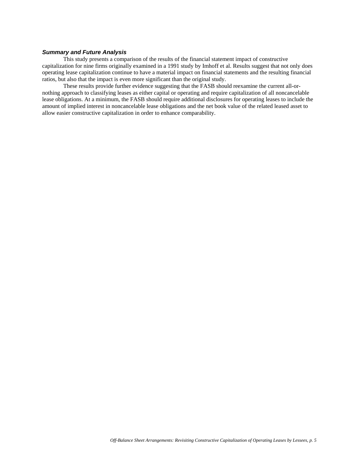## *Summary and Future Analysis*

This study presents a comparison of the results of the financial statement impact of constructive capitalization for nine firms originally examined in a 1991 study by Imhoff et al. Results suggest that not only does operating lease capitalization continue to have a material impact on financial statements and the resulting financial ratios, but also that the impact is even more significant than the original study.

 These results provide further evidence suggesting that the FASB should reexamine the current all-ornothing approach to classifying leases as either capital or operating and require capitalization of all noncancelable lease obligations. At a minimum, the FASB should require additional disclosures for operating leases to include the amount of implied interest in noncancelable lease obligations and the net book value of the related leased asset to allow easier constructive capitalization in order to enhance comparability.